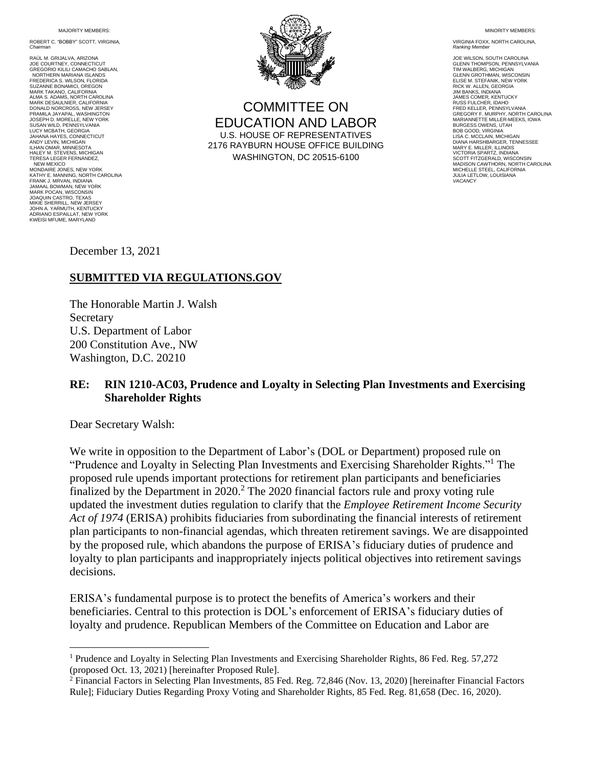MA **JORITY MEMBERS:** 

ROBERT C. "BOBBY" SCOTT, VIRGINIA, *Chairman*

RAÚL M. GRIJALVA, ARIZONA JOE COURTNEY, CONNECTICUT GREGORIO KILILI CAMACHO SABLAN, NORTHERN MARIANA ISLANDS **FREDERICA S. WILSON, FLORIDA**<br>SLIZANNE BONAMICL OREGON SUZANNE BONAMICI, OREGON MARK TAKANO, CALIFORNIA ALMA S. ADAMS, NORTH CAROLINA MARK DESAULNIER, CALIFORNIA DONALD NORCROSS, NEW JERSEY PRAMILA JAYAPAL, WASHINGTON JOSEPH D. MORELLE, NEW YORK SUSAN WILD, PENNSYLVANIA LUCY MCBATH, GEORGIA JAHANA HAYES, CONNECTICUT ANDY LEVIN, MICHIGAN ILHAN OMAR, MINNESOTA HALEY M. STEVENS, MICHIGAN TERESA LEGER FERNÁNDEZ, NEW MEXICO MONDAIRE JONES, NEW YORK KATHY E. MANNING, NORTH CAROLINA FRANK J. MRVAN, INDIANA JAMAAL BOWMAN, NEW YORK MARK POCAN, WISCONSIN JOAQUIN CASTRO, TEXAS MIKIE SHERRILL, NEW JERSEY JOHN A. YARMUTH, KENTUCKY ADRIANO ESPAILLAT, NEW YORK KWEISI MFUME, MARYLAND



COMMITTEE ON EDUCATION AND LABOR U.S. HOUSE OF REPRESENTATIVES 2176 RAYBURN HOUSE OFFICE BUILDING WASHINGTON, DC 20515-6100

MINORITY MEMBERS:

VIRGINIA FOXX, NORTH CAROLINA, *Ranking Member*

JOE WILSON, SOUTH CAROLINA GLENN THOMPSON, PENNSYLVANIA TIM WALBERG, MICHIGAN GLENN GROTHMAN, WISCONSIN ELISE M. STEFANIK, NEW YORK RICK W. ALLEN, GEORGIA JIM BANKS, INDIANA JAMES COMER, KENTUCKY RUSS FULCHER, IDAHO FRED KELLER, PENNSYLVANIA GREGORY F. MURPHY, NORTH CAROLINA MARIANNETTE MILLER-MEEKS, IOWA BURGESS OWENS, UTAH BOB GOOD, VIRGINIA LISA C. MCCLAIN, MICHIGAN DIANA HARSHBARGER, TENNESSEE MARY E. MILLER, ILLINOIS VICTORIA SPARTZ, INDIANA SCOTT FITZGERALD, WISCONSIN MADISON CAWTHORN, NORTH CAROLINA MICHELLE STEEL, CALIFORNIA JULIA LETLOW, LOUISIANA *VACANCY*

December 13, 2021

## **SUBMITTED VIA REGULATIONS.GOV**

The Honorable Martin J. Walsh Secretary U.S. Department of Labor 200 Constitution Ave., NW Washington, D.C. 20210

## **RE: RIN 1210-AC03, Prudence and Loyalty in Selecting Plan Investments and Exercising Shareholder Rights**

Dear Secretary Walsh:

We write in opposition to the Department of Labor's (DOL or Department) proposed rule on "Prudence and Loyalty in Selecting Plan Investments and Exercising Shareholder Rights."<sup>1</sup> The proposed rule upends important protections for retirement plan participants and beneficiaries finalized by the Department in  $2020$ .<sup>2</sup> The  $2020$  financial factors rule and proxy voting rule updated the investment duties regulation to clarify that the *Employee Retirement Income Security Act of 1974* (ERISA) prohibits fiduciaries from subordinating the financial interests of retirement plan participants to non-financial agendas, which threaten retirement savings. We are disappointed by the proposed rule, which abandons the purpose of ERISA's fiduciary duties of prudence and loyalty to plan participants and inappropriately injects political objectives into retirement savings decisions.

ERISA's fundamental purpose is to protect the benefits of America's workers and their beneficiaries. Central to this protection is DOL's enforcement of ERISA's fiduciary duties of loyalty and prudence. Republican Members of the Committee on Education and Labor are

<sup>&</sup>lt;sup>1</sup> Prudence and Loyalty in Selecting Plan Investments and Exercising Shareholder Rights, 86 Fed. Reg. 57,272 (proposed Oct. 13, 2021) [hereinafter Proposed Rule].

<sup>2</sup> Financial Factors in Selecting Plan Investments, 85 Fed. Reg. 72,846 (Nov. 13, 2020) [hereinafter Financial Factors Rule]; Fiduciary Duties Regarding Proxy Voting and Shareholder Rights, 85 Fed. Reg. 81,658 (Dec. 16, 2020).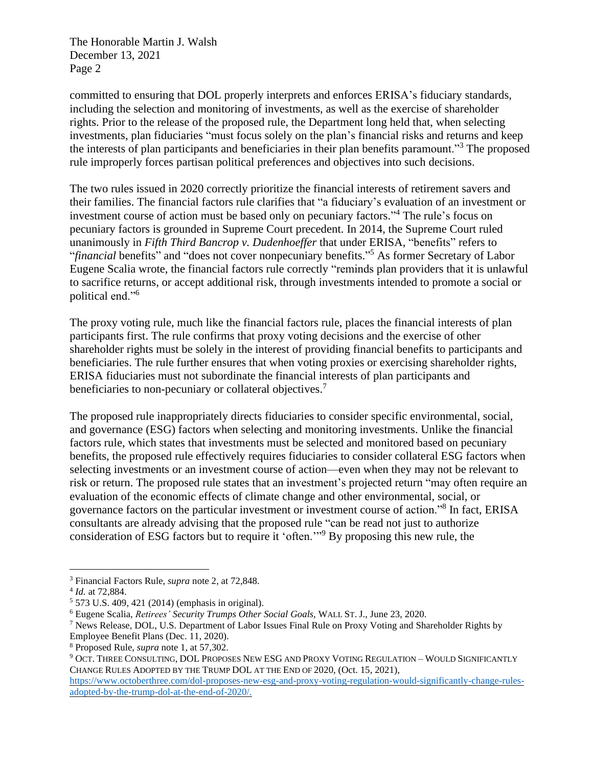The Honorable Martin J. Walsh December 13, 2021 Page 2

committed to ensuring that DOL properly interprets and enforces ERISA's fiduciary standards, including the selection and monitoring of investments, as well as the exercise of shareholder rights. Prior to the release of the proposed rule, the Department long held that, when selecting investments, plan fiduciaries "must focus solely on the plan's financial risks and returns and keep the interests of plan participants and beneficiaries in their plan benefits paramount."<sup>3</sup> The proposed rule improperly forces partisan political preferences and objectives into such decisions.

The two rules issued in 2020 correctly prioritize the financial interests of retirement savers and their families. The financial factors rule clarifies that "a fiduciary's evaluation of an investment or investment course of action must be based only on pecuniary factors." <sup>4</sup> The rule's focus on pecuniary factors is grounded in Supreme Court precedent. In 2014, the Supreme Court ruled unanimously in *Fifth Third Bancrop v. Dudenhoeffer* that under ERISA, "benefits" refers to "*financial* benefits" and "does not cover nonpecuniary benefits." <sup>5</sup> As former Secretary of Labor Eugene Scalia wrote, the financial factors rule correctly "reminds plan providers that it is unlawful to sacrifice returns, or accept additional risk, through investments intended to promote a social or political end."<sup>6</sup>

The proxy voting rule, much like the financial factors rule, places the financial interests of plan participants first. The rule confirms that proxy voting decisions and the exercise of other shareholder rights must be solely in the interest of providing financial benefits to participants and beneficiaries. The rule further ensures that when voting proxies or exercising shareholder rights, ERISA fiduciaries must not subordinate the financial interests of plan participants and beneficiaries to non-pecuniary or collateral objectives.<sup>7</sup>

The proposed rule inappropriately directs fiduciaries to consider specific environmental, social, and governance (ESG) factors when selecting and monitoring investments. Unlike the financial factors rule, which states that investments must be selected and monitored based on pecuniary benefits, the proposed rule effectively requires fiduciaries to consider collateral ESG factors when selecting investments or an investment course of action—even when they may not be relevant to risk or return. The proposed rule states that an investment's projected return "may often require an evaluation of the economic effects of climate change and other environmental, social, or governance factors on the particular investment or investment course of action."<sup>8</sup> In fact, ERISA consultants are already advising that the proposed rule "can be read not just to authorize consideration of ESG factors but to require it 'often.'"<sup>9</sup> By proposing this new rule, the

<sup>3</sup> Financial Factors Rule, *supra* note 2, at 72,848.

<sup>4</sup> *Id.* at 72,884.

<sup>5</sup> 573 U.S. 409, 421 (2014) (emphasis in original).

<sup>6</sup> Eugene Scalia, *Retirees' Security Trumps Other Social Goals,* WALL ST. J., June 23, 2020.

<sup>7</sup> News Release, DOL, U.S. Department of Labor Issues Final Rule on Proxy Voting and Shareholder Rights by Employee Benefit Plans (Dec. 11, 2020).

<sup>8</sup> Proposed Rule, *supra* note 1, at 57,302.

<sup>9</sup> OCT. THREE CONSULTING, DOL PROPOSES NEW ESG AND PROXY VOTING REGULATION – WOULD SIGNIFICANTLY CHANGE RULES ADOPTED BY THE TRUMP DOL AT THE END OF 2020, (Oct. 15, 2021),

[https://www.octoberthree.com/dol-proposes-new-esg-and-proxy-voting-regulation-would-significantly-change-rules](https://www.octoberthree.com/dol-proposes-new-esg-and-proxy-voting-regulation-would-significantly-change-rules-adopted-by-the-trump-dol-at-the-end-of-2020/)[adopted-by-the-trump-dol-at-the-end-of-2020/.](https://www.octoberthree.com/dol-proposes-new-esg-and-proxy-voting-regulation-would-significantly-change-rules-adopted-by-the-trump-dol-at-the-end-of-2020/)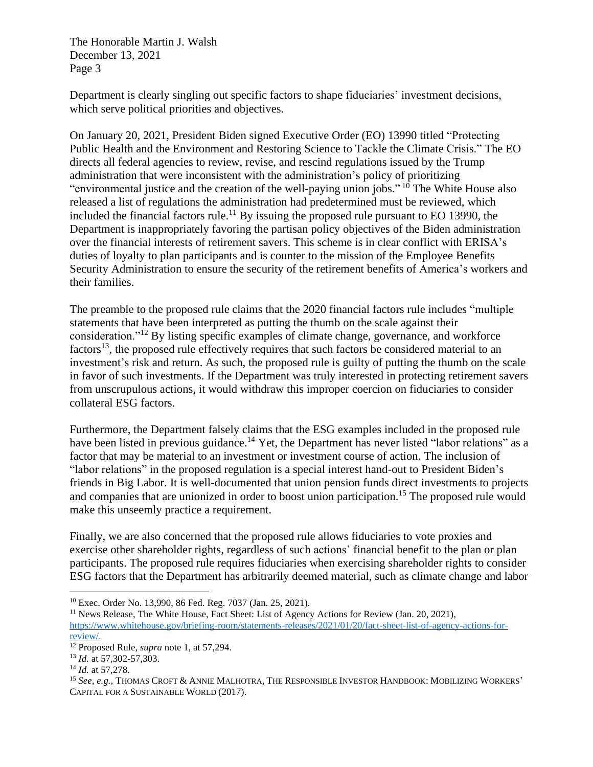The Honorable Martin J. Walsh December 13, 2021 Page 3

Department is clearly singling out specific factors to shape fiduciaries' investment decisions, which serve political priorities and objectives.

On January 20, 2021, President Biden signed Executive Order (EO) 13990 titled "Protecting Public Health and the Environment and Restoring Science to Tackle the Climate Crisis." The EO directs all federal agencies to review, revise, and rescind regulations issued by the Trump administration that were inconsistent with the administration's policy of prioritizing "environmental justice and the creation of the well-paying union jobs." <sup>10</sup> The White House also released a list of regulations the administration had predetermined must be reviewed, which included the financial factors rule.<sup>11</sup> By issuing the proposed rule pursuant to EO 13990, the Department is inappropriately favoring the partisan policy objectives of the Biden administration over the financial interests of retirement savers. This scheme is in clear conflict with ERISA's duties of loyalty to plan participants and is counter to the mission of the Employee Benefits Security Administration to ensure the security of the retirement benefits of America's workers and their families.

The preamble to the proposed rule claims that the 2020 financial factors rule includes "multiple statements that have been interpreted as putting the thumb on the scale against their consideration."<sup>12</sup> By listing specific examples of climate change, governance, and workforce factors<sup>13</sup>, the proposed rule effectively requires that such factors be considered material to an investment's risk and return. As such, the proposed rule is guilty of putting the thumb on the scale in favor of such investments. If the Department was truly interested in protecting retirement savers from unscrupulous actions, it would withdraw this improper coercion on fiduciaries to consider collateral ESG factors.

Furthermore, the Department falsely claims that the ESG examples included in the proposed rule have been listed in previous guidance.<sup>14</sup> Yet, the Department has never listed "labor relations" as a factor that may be material to an investment or investment course of action. The inclusion of "labor relations" in the proposed regulation is a special interest hand-out to President Biden's friends in Big Labor. It is well-documented that union pension funds direct investments to projects and companies that are unionized in order to boost union participation.<sup>15</sup> The proposed rule would make this unseemly practice a requirement.

Finally, we are also concerned that the proposed rule allows fiduciaries to vote proxies and exercise other shareholder rights, regardless of such actions' financial benefit to the plan or plan participants. The proposed rule requires fiduciaries when exercising shareholder rights to consider ESG factors that the Department has arbitrarily deemed material, such as climate change and labor

<sup>10</sup> Exec. Order No. 13,990, 86 Fed. Reg. 7037 (Jan. 25, 2021).

<sup>&</sup>lt;sup>11</sup> News Release, The White House, Fact Sheet: List of Agency Actions for Review (Jan. 20, 2021), [https://www.whitehouse.gov/briefing-room/statements-releases/2021/01/20/fact-sheet-list-of-agency-actions-for](https://www.whitehouse.gov/briefing-room/statements-releases/2021/01/20/fact-sheet-list-of-agency-actions-for-review/)[review/.](https://www.whitehouse.gov/briefing-room/statements-releases/2021/01/20/fact-sheet-list-of-agency-actions-for-review/)

<sup>12</sup> Proposed Rule, *supra* note 1, at 57,294.

<sup>13</sup> *Id.* at 57,302-57,303.

<sup>14</sup> *Id.* at 57,278.

<sup>15</sup> *See*, *e.g.*, THOMAS CROFT & ANNIE MALHOTRA, THE RESPONSIBLE INVESTOR HANDBOOK: MOBILIZING WORKERS' CAPITAL FOR A SUSTAINABLE WORLD (2017).